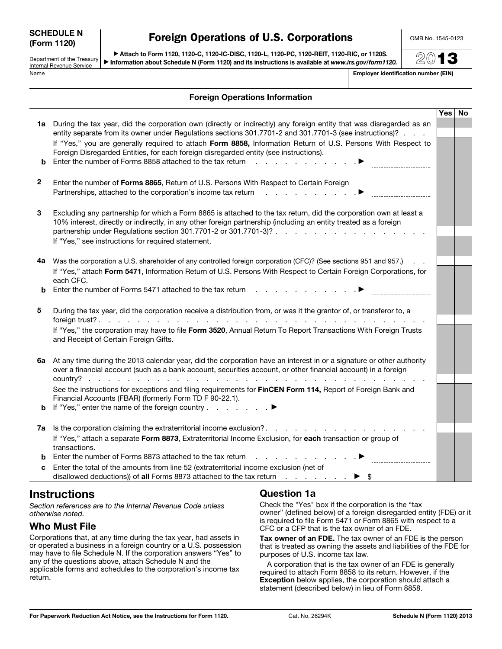| <b>SCHEDULE N</b> |  |
|-------------------|--|
| (Form 1120)       |  |

Department of the Treasury Internal Revenue Service

# Foreign Operations of U.S. Corporations

▶ Attach to Form 1120, 1120-C, 1120-IC-DISC, 1120-L, 1120-PC, 1120-REIT, 1120-RIC, or 1120S. ▶ Information about Schedule N (Form 1120) and its instructions is available at *www.irs.gov/form1120.* OMB No. 1545-0123

2013

Name **Employer identification number (EIN)** Name

#### Foreign Operations Information

|              |                                                                                                                                                                                                                               | Yes | No |
|--------------|-------------------------------------------------------------------------------------------------------------------------------------------------------------------------------------------------------------------------------|-----|----|
|              | 1a During the tax year, did the corporation own (directly or indirectly) any foreign entity that was disregarded as an                                                                                                        |     |    |
|              | entity separate from its owner under Regulations sections 301.7701-2 and 301.7701-3 (see instructions)?                                                                                                                       |     |    |
|              | If "Yes," you are generally required to attach Form 8858, Information Return of U.S. Persons With Respect to                                                                                                                  |     |    |
|              | Foreign Disregarded Entities, for each foreign disregarded entity (see instructions).                                                                                                                                         |     |    |
| b            |                                                                                                                                                                                                                               |     |    |
|              |                                                                                                                                                                                                                               |     |    |
| $\mathbf{2}$ | Enter the number of Forms 8865, Return of U.S. Persons With Respect to Certain Foreign                                                                                                                                        |     |    |
|              | Partnerships, attached to the corporation's income tax return example of the state of the state of the state of the state of the state of the state of the state of the state of the state of the state of the state of the s |     |    |
|              |                                                                                                                                                                                                                               |     |    |
| 3            | Excluding any partnership for which a Form 8865 is attached to the tax return, did the corporation own at least a                                                                                                             |     |    |
|              | 10% interest, directly or indirectly, in any other foreign partnership (including an entity treated as a foreign                                                                                                              |     |    |
|              |                                                                                                                                                                                                                               |     |    |
|              | If "Yes," see instructions for required statement.                                                                                                                                                                            |     |    |
|              |                                                                                                                                                                                                                               |     |    |
| 4a           | Was the corporation a U.S. shareholder of any controlled foreign corporation (CFC)? (See sections 951 and 957.)                                                                                                               |     |    |
|              | If "Yes," attach Form 5471, Information Return of U.S. Persons With Respect to Certain Foreign Corporations, for                                                                                                              |     |    |
| b            | each CFC.                                                                                                                                                                                                                     |     |    |
|              |                                                                                                                                                                                                                               |     |    |
| 5            | During the tax year, did the corporation receive a distribution from, or was it the grantor of, or transferor to, a                                                                                                           |     |    |
|              |                                                                                                                                                                                                                               |     |    |
|              | If "Yes," the corporation may have to file Form 3520, Annual Return To Report Transactions With Foreign Trusts                                                                                                                |     |    |
|              | and Receipt of Certain Foreign Gifts.                                                                                                                                                                                         |     |    |
|              |                                                                                                                                                                                                                               |     |    |
|              | 6a At any time during the 2013 calendar year, did the corporation have an interest in or a signature or other authority                                                                                                       |     |    |
|              | over a financial account (such as a bank account, securities account, or other financial account) in a foreign                                                                                                                |     |    |
|              |                                                                                                                                                                                                                               |     |    |
|              | See the instructions for exceptions and filing requirements for FinCEN Form 114, Report of Foreign Bank and                                                                                                                   |     |    |
|              | Financial Accounts (FBAR) (formerly Form TD F 90-22.1).                                                                                                                                                                       |     |    |
| b            | If "Yes," enter the name of the foreign country $\ldots$ , $\ldots$                                                                                                                                                           |     |    |
|              |                                                                                                                                                                                                                               |     |    |
| 7a           |                                                                                                                                                                                                                               |     |    |
|              | If "Yes," attach a separate Form 8873, Extraterritorial Income Exclusion, for each transaction or group of                                                                                                                    |     |    |
|              | transactions.                                                                                                                                                                                                                 |     |    |
| b            | Enter the number of Forms 8873 attached to the tax return                                                                                                                                                                     |     |    |
| C            | Enter the total of the amounts from line 52 (extraterritorial income exclusion (net of                                                                                                                                        |     |    |
|              | disallowed deductions) of all Forms 8873 attached to the tax return<br>$\blacktriangleright$ s                                                                                                                                |     |    |

## **Instructions**

*Section references are to the Internal Revenue Code unless otherwise noted.*

## Who Must File

Corporations that, at any time during the tax year, had assets in or operated a business in a foreign country or a U.S. possession may have to file Schedule N. If the corporation answers "Yes" to any of the questions above, attach Schedule N and the applicable forms and schedules to the corporation's income tax return.

## Question 1a

Check the "Yes" box if the corporation is the "tax owner" (defined below) of a foreign disregarded entity (FDE) or it is required to file Form 5471 or Form 8865 with respect to a CFC or a CFP that is the tax owner of an FDE.

Tax owner of an FDE. The tax owner of an FDE is the person that is treated as owning the assets and liabilities of the FDE for purposes of U.S. income tax law.

A corporation that is the tax owner of an FDE is generally required to attach Form 8858 to its return. However, if the Exception below applies, the corporation should attach a statement (described below) in lieu of Form 8858.